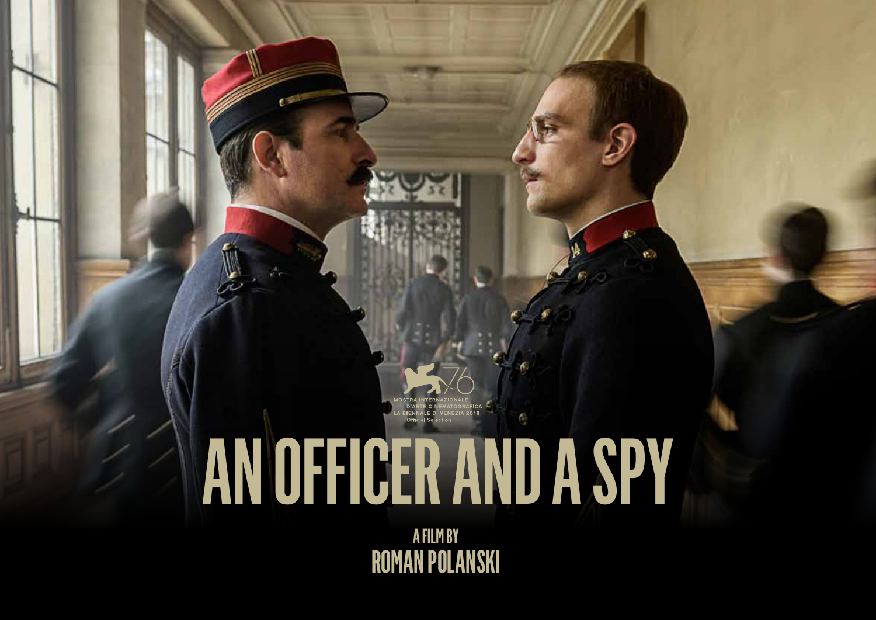# **AN OFFICER AND A SPY**

e.

**A film by ROMAN POLANSKI**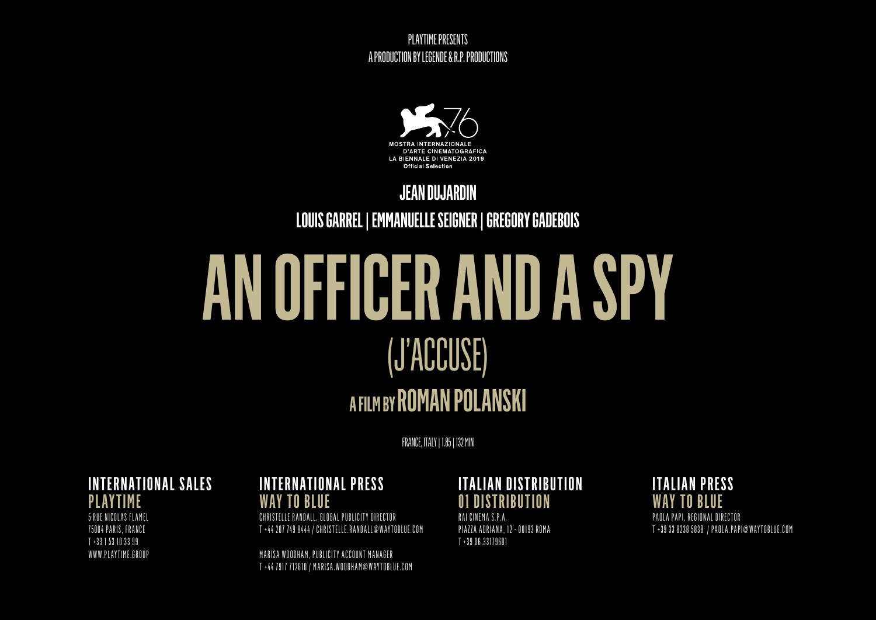



### **JEAN DUJARDIN LOUIS GARREL| EMMANUELLE SEIGNER | GREGORY GADEBOIS**

# **AN OFFICER AND A SPY A film byROMAN POLANSKI** (J'Accuse)

France, Italy | 1.85 | 132 min

**INTERNATIONAL SALES playtime**

5 rue Nicolas Flamel 75004 PARIS, FRANCE T +33 1 53 10 33 99 www.playtime.group

#### **International Press Way to Bl ue**

CHRISTELLE RANDALL, GLOBAL PUBLICITY DIRECTOR T +44 207 749 8444 / christelle.randall@waytoblue.com

Marisa Woodham, Publicity Account Manager T +44 7917 712610 / marisa.woodham@waytoblue.com

#### **Italian Distrib ution 01 Distrib ution**

RAI Cinema S.p.A. Piazza Adriana, 12 - 00193 Roma T +39 06.33179601

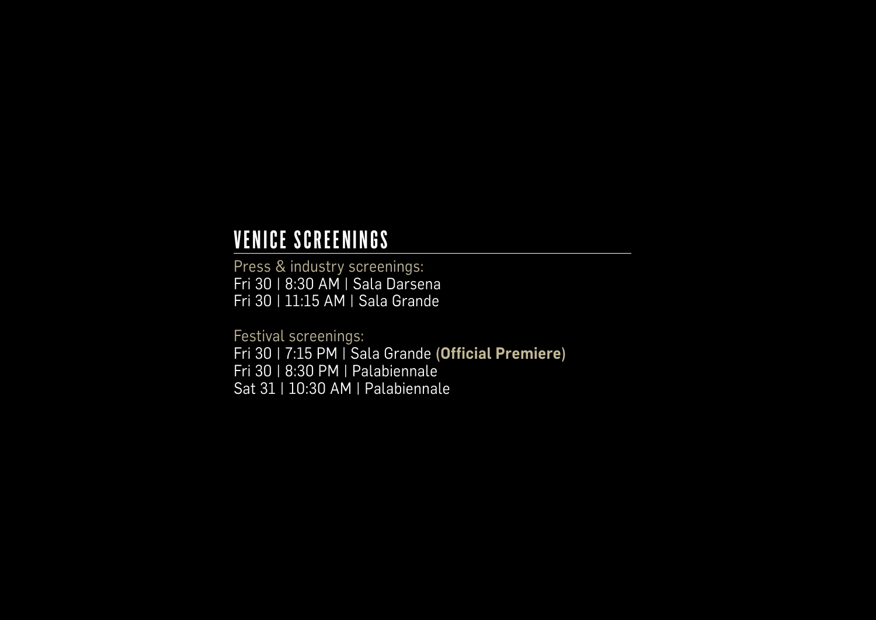### **VENICE SCREENINGS**

Press & industry screenings: Fri 30 | 8:30 AM | Sala Darsena Fri 30 | 11:15 AM | Sala Grande

Festival screenings: Fri 30 | 7:15 PM | Sala Grande **(Official Premiere)** Fri 30 | 8:30 PM | Palabiennale Sat 31 | 10:30 AM | Palabiennale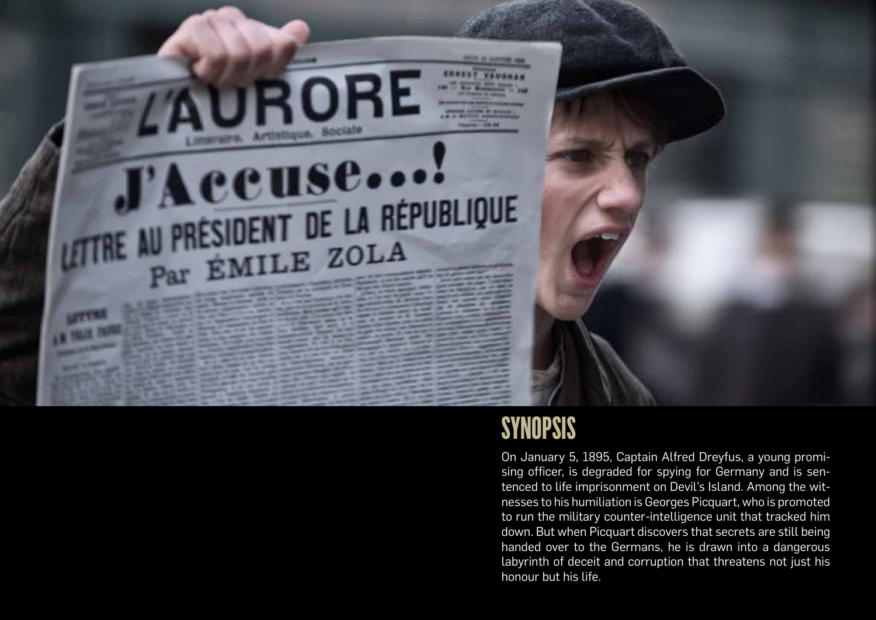

### **synopsis**

On January 5, 1895, Captain Alfred Dreyfus, a young promising officer, is degraded for spying for Germany and is sentenced to life imprisonment on Devil's Island. Among the witnesses to his humiliation is Georges Picquart, who is promoted to run the military counter-intelligence unit that tracked him down. But when Picquart discovers that secrets are still being handed over to the Germans, he is drawn into a dangerous labyrinth of deceit and corruption that threatens not just his honour but his life.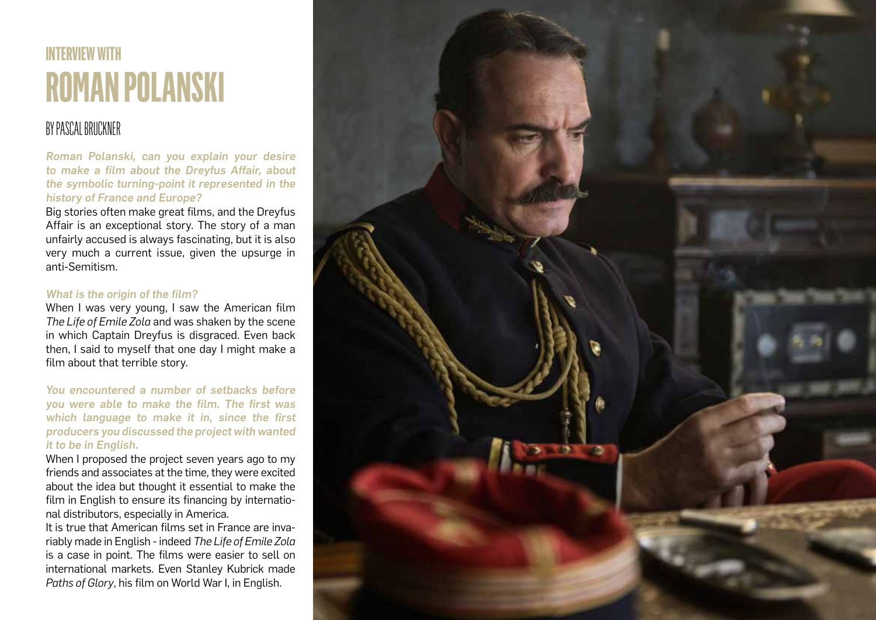### **Interview with Roman Polanski**

#### By Pascal Bruckner

Roman Polanski, can you explain your desire to make a film about the Dreyfus Affair, about the symbolic turning-point it represented in the history of France and Europe?

Big stories often make great films, and the Dreyfus Affair is an exceptional story. The story of a man unfairly accused is always fascinating, but it is also very much a current issue, given the upsurge in anti-Semitism.

#### What is the origin of the film?

When I was very young, I saw the American film *The Life of Emile Zola* and was shaken by the scene in which Captain Dreyfus is disgraced. Even back then, I said to myself that one day I might make a film about that terrible story.

You encountered a number of setbacks before you were able to make the film. The first was which language to make it in, since the first producers you discussed the project with wanted it to be in English.

When I proposed the project seven years ago to my friends and associates at the time, they were excited about the idea but thought it essential to make the film in English to ensure its financing by international distributors, especially in America.

It is true that American films set in France are invariably made in English - indeed *The Life of Emile Zola* is a case in point. The films were easier to sell on international markets. Even Stanley Kubrick made *Paths of Glory*, his film on World War I, in English.

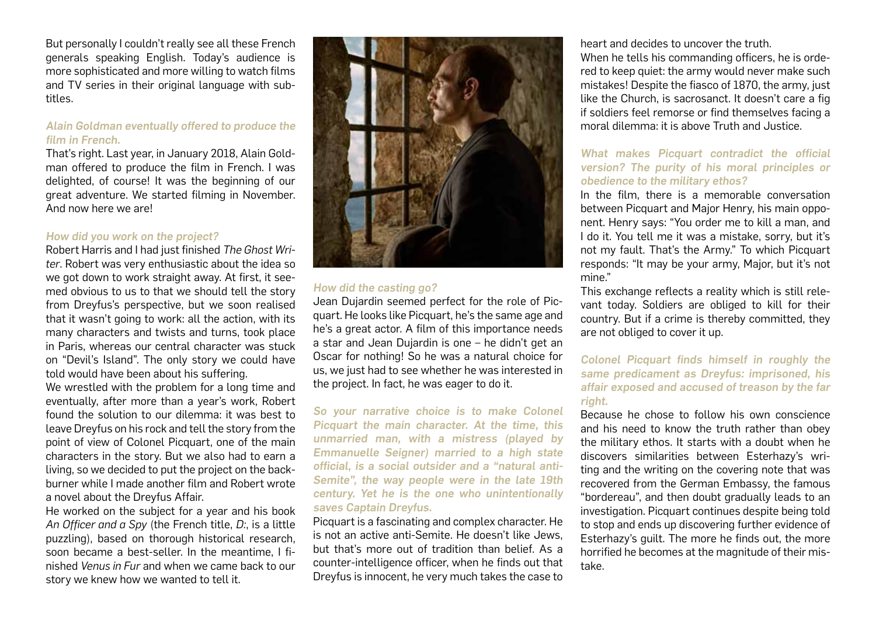But personally I couldn't really see all these French generals speaking English. Today's audience is more sophisticated and more willing to watch films and TV series in their original language with subtitles.

#### Alain Goldman eventually offered to produce the film in French.

That's right. Last year, in January 2018, Alain Goldman offered to produce the film in French. I was delighted, of course! It was the beginning of our great adventure. We started filming in November. And now here we are!

#### How did you work on the project?

Robert Harris and I had just finished *The Ghost Writer*. Robert was very enthusiastic about the idea so we got down to work straight away. At first, it seemed obvious to us to that we should tell the story from Dreyfus's perspective, but we soon realised that it wasn't going to work: all the action, with its many characters and twists and turns, took place in Paris, whereas our central character was stuck on "Devil's Island". The only story we could have told would have been about his suffering.

We wrestled with the problem for a long time and eventually, after more than a year's work, Robert found the solution to our dilemma: it was best to leave Dreyfus on his rock and tell the story from the point of view of Colonel Picquart, one of the main characters in the story. But we also had to earn a living, so we decided to put the project on the backburner while I made another film and Robert wrote a novel about the Dreyfus Affair.

He worked on the subject for a year and his book *An Officer and a Spy* (the French title, *D:*, is a little puzzling), based on thorough historical research, soon became a best-seller. In the meantime, I finished *Venus in Fur* and when we came back to our story we knew how we wanted to tell it.



#### How did the casting go?

Jean Dujardin seemed perfect for the role of Picquart. He looks like Picquart, he's the same age and he's a great actor. A film of this importance needs a star and Jean Dujardin is one – he didn't get an Oscar for nothing! So he was a natural choice for us, we just had to see whether he was interested in the project. In fact, he was eager to do it.

So your narrative choice is to make Colonel Picquart the main character. At the time, this unmarried man, with a mistress (played by Emmanuelle Seigner) married to a high state official, is a social outsider and a "natural anti-Semite", the way people were in the late 19th century. Yet he is the one who unintentionally saves Captain Dreyfus.

Picquart is a fascinating and complex character. He is not an active anti-Semite. He doesn't like Jews, but that's more out of tradition than belief. As a counter-intelligence officer, when he finds out that Dreyfus is innocent, he very much takes the case to

heart and decides to uncover the truth. When he tells his commanding officers, he is ordered to keep quiet: the army would never make such mistakes! Despite the fiasco of 1870, the army, just like the Church, is sacrosanct. It doesn't care a fig if soldiers feel remorse or find themselves facing a moral dilemma: it is above Truth and Justice.

#### What makes Picquart contradict the official version? The purity of his moral principles or obedience to the military ethos?

In the film, there is a memorable conversation between Picquart and Major Henry, his main opponent. Henry says: "You order me to kill a man, and I do it. You tell me it was a mistake, sorry, but it's not my fault. That's the Army." To which Picquart responds: "It may be your army, Major, but it's not mine."

This exchange reflects a reality which is still relevant today. Soldiers are obliged to kill for their country. But if a crime is thereby committed, they are not obliged to cover it up.

#### Colonel Picquart finds himself in roughly the same predicament as Dreyfus: imprisoned, his affair exposed and accused of treason by the far right.

Because he chose to follow his own conscience and his need to know the truth rather than obey the military ethos. It starts with a doubt when he discovers similarities between Esterhazy's writing and the writing on the covering note that was recovered from the German Embassy, the famous "bordereau", and then doubt gradually leads to an investigation. Picquart continues despite being told to stop and ends up discovering further evidence of Esterhazy's guilt. The more he finds out, the more horrified he becomes at the magnitude of their mistake.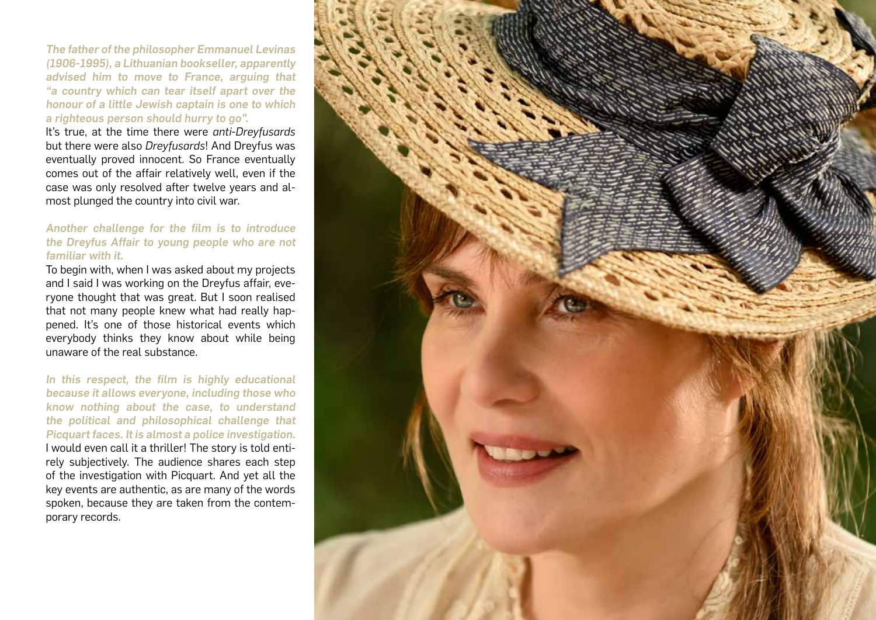The father of the philosopher Emmanuel Levinas (1906-1995), a Lithuanian bookseller, apparently advised him to move to France, arguing that "a country which can tear itself apart over the honour of a little Jewish captain is one to which a righteous person should hurry to go".

It's true, at the time there were *anti-Dreyfusards* but there were also *Dreyfusards*! And Dreyfus was eventually proved innocent. So France eventually comes out of the affair relatively well, even if the case was only resolved after twelve years and almost plunged the country into civil war.

#### Another challenge for the film is to introduce the Dreyfus Affair to young people who are not familiar with it.

To begin with, when I was asked about my projects and I said I was working on the Dreyfus affair, everyone thought that was great. But I soon realised that not many people knew what had really happened. It's one of those historical events which everybody thinks they know about while being unaware of the real substance.

In this respect, the film is highly educational because it allows everyone, including those who know nothing about the case, to understand the political and philosophical challenge that Picquart faces. It is almost a police investigation. I would even call it a thriller! The story is told entirely subjectively. The audience shares each step of the investigation with Picquart. And yet all the key events are authentic, as are many of the words spoken, because they are taken from the contemporary records.

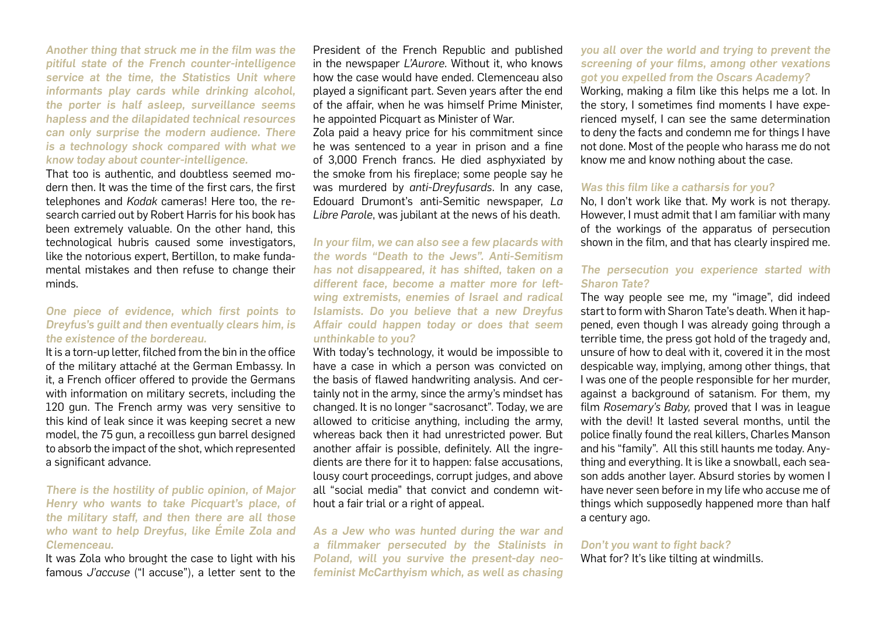Another thing that struck me in the film was the pitiful state of the French counter-intelligence service at the time, the Statistics Unit where informants play cards while drinking alcohol, the porter is half asleep, surveillance seems hapless and the dilapidated technical resources can only surprise the modern audience. There is a technology shock compared with what we know today about counter-intelligence.

That too is authentic, and doubtless seemed modern then. It was the time of the first cars, the first telephones and *Kodak* cameras! Here too, the research carried out by Robert Harris for his book has been extremely valuable. On the other hand, this technological hubris caused some investigators, like the notorious expert, Bertillon, to make fundamental mistakes and then refuse to change their minds.

#### One piece of evidence, which first points to Dreyfus's guilt and then eventually clears him, is the existence of the bordereau.

It is a torn-up letter, filched from the bin in the office of the military attaché at the German Embassy. In it, a French officer offered to provide the Germans with information on military secrets, including the 120 gun. The French army was very sensitive to this kind of leak since it was keeping secret a new model, the 75 gun, a recoilless gun barrel designed to absorb the impact of the shot, which represented a significant advance.

There is the hostility of public opinion, of Major Henry who wants to take Picquart's place, of the military staff, and then there are all those who want to help Dreyfus, like Émile Zola and Clemenceau.

It was Zola who brought the case to light with his famous *J'accuse* ("I accuse"), a letter sent to the

President of the French Republic and published in the newspaper *L'Aurore*. Without it, who knows how the case would have ended. Clemenceau also played a significant part. Seven years after the end of the affair, when he was himself Prime Minister, he appointed Picquart as Minister of War.

Zola paid a heavy price for his commitment since he was sentenced to a year in prison and a fine of 3,000 French francs. He died asphyxiated by the smoke from his fireplace; some people say he was murdered by *anti-Dreyfusards*. In any case, Edouard Drumont's anti-Semitic newspaper, *La Libre Parole*, was jubilant at the news of his death.

In your film, we can also see a few placards with the words "Death to the Jews". Anti-Semitism has not disappeared, it has shifted, taken on a different face, become a matter more for leftwing extremists, enemies of Israel and radical Islamists. Do you believe that a new Dreyfus Affair could happen today or does that seem unthinkable to you?

With today's technology, it would be impossible to have a case in which a person was convicted on the basis of flawed handwriting analysis. And certainly not in the army, since the army's mindset has changed. It is no longer "sacrosanct". Today, we are allowed to criticise anything, including the army, whereas back then it had unrestricted power. But another affair is possible, definitely. All the ingredients are there for it to happen: false accusations, lousy court proceedings, corrupt judges, and above all "social media" that convict and condemn without a fair trial or a right of appeal.

As a Jew who was hunted during the war and a filmmaker persecuted by the Stalinists in Poland, will you survive the present-day neofeminist McCarthyism which, as well as chasing

#### you all over the world and trying to prevent the screening of your films, among other vexations got you expelled from the Oscars Academy?

Working, making a film like this helps me a lot. In the story, I sometimes find moments I have experienced myself, I can see the same determination to deny the facts and condemn me for things I have not done. Most of the people who harass me do not know me and know nothing about the case.

#### Was this film like a catharsis for you?

No, I don't work like that. My work is not therapy. However, I must admit that I am familiar with many of the workings of the apparatus of persecution shown in the film, and that has clearly inspired me.

#### The persecution you experience started with Sharon Tate?

The way people see me, my "image", did indeed start to form with Sharon Tate's death. When it happened, even though I was already going through a terrible time, the press got hold of the tragedy and, unsure of how to deal with it, covered it in the most despicable way, implying, among other things, that I was one of the people responsible for her murder, against a background of satanism. For them, my film *Rosemary's Baby,* proved that I was in league with the devil! It lasted several months, until the police finally found the real killers, Charles Manson and his "family". All this still haunts me today. Anything and everything. It is like a snowball, each season adds another layer. Absurd stories by women I have never seen before in my life who accuse me of things which supposedly happened more than half a century ago.

#### Don't you want to fight back?

What for? It's like tilting at windmills.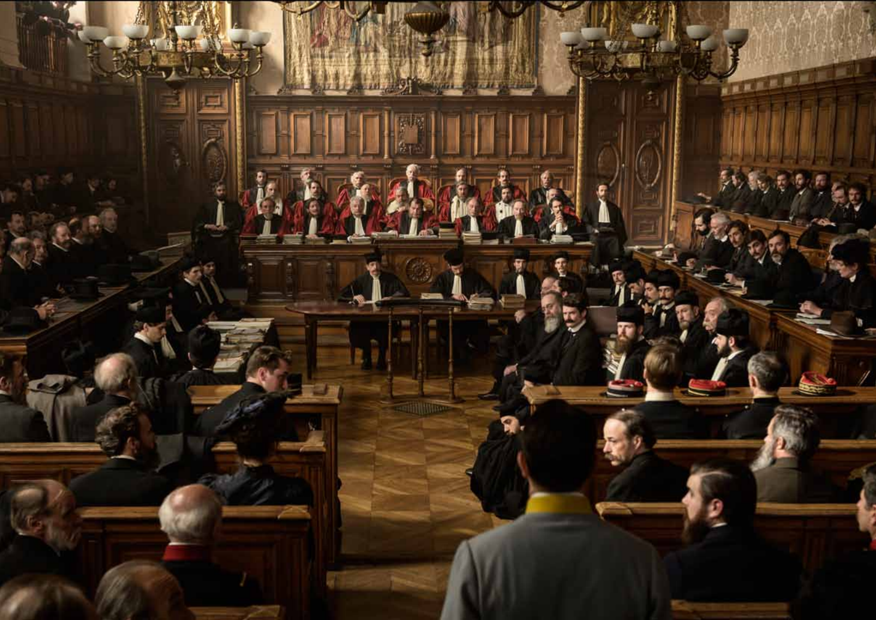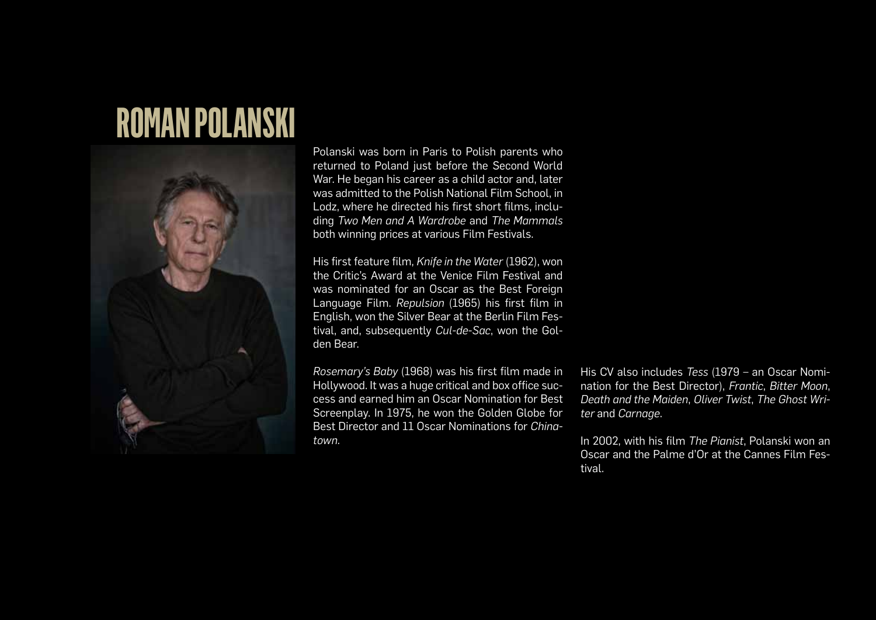# **Roman Polanski**



Polanski was born in Paris to Polish parents who returned to Poland just before the Second World War. He began his career as a child actor and, later was admitted to the Polish National Film School, in Lodz, where he directed his first short films, including *Two Men and A Wardrobe* and *The Mammals*  both winning prices at various Film Festivals.

His first feature film, *Knife in the Water* (1962), won the Critic's Award at the Venice Film Festival and was nominated for an Oscar as the Best Foreign Language Film. *Repulsion* (1965) his first film in English, won the Silver Bear at the Berlin Film Festival, and, subsequently *Cul-de-Sac*, won the Golden Bear.

*Rosemary's Baby* (1968) was his first film made in Hollywood. It was a huge critical and box office success and earned him an Oscar Nomination for Best Screenplay. In 1975, he won the Golden Globe for Best Director and 11 Oscar Nominations for *Chinatown.*

His CV also includes *Tess* (1979 – an Oscar Nomination for the Best Director), *Frantic*, *Bitter Moon*, *Death and the Maiden*, *Oliver Twist*, *The Ghost Writer* and *Carnage*.

In 2002, with his film *The Pianist*, Polanski won an Oscar and the Palme d'Or at the Cannes Film Festival.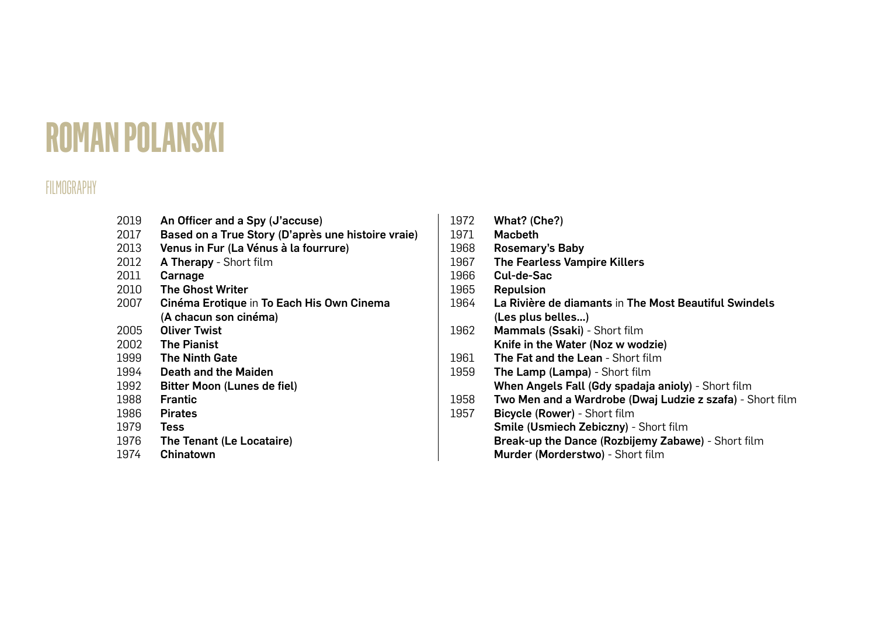# **Roman Polanski**

#### filmography

- An Officer and a Spy (J'accuse)
- Based on a True Story (D'après une histoire vraie)
- Venus in Fur (La Vénus à la fourrure)
- 2012 A Therapy Short film
- Carnage
- The Ghost Writer
- Cinéma Erotique in To Each His Own Cinema (A chacun son cinéma)
- Oliver Twist
- The Pianist
- The Ninth Gate
- Death and the Maiden
- Bitter Moon (Lunes de fiel)
- Frantic
- Pirates
- Tess
- The Tenant (Le Locataire)
- Chinatown
- What? (Che?)
- Macbeth
- Rosemary's Baby
- The Fearless Vampire Killers
- Cul-de-Sac
- Repulsion
- La Rivière de diamants in The Most Beautiful Swindels (Les plus belles...)
- Mammals (Ssaki) Short film Knife in the Water (Noz w wodzie)
- 1961 The Fat and the Lean Short film
- 1959 The Lamp (Lampa) Short film When Angels Fall (Gdy spadaja anioly) - Short film
- Two Men and a Wardrobe (Dwaj Ludzie z szafa) Short film
- 1957 Bicycle (Rower) Short film Smile (Usmiech Zebiczny) - Short film Break-up the Dance (Rozbijemy Zabawe) - Short film Murder (Morderstwo) - Short film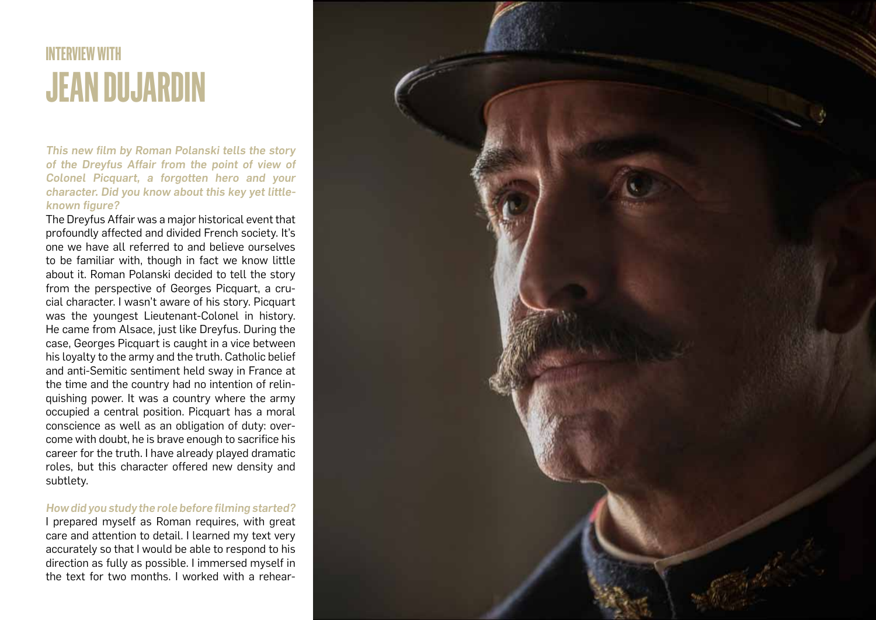### **Interview with jean dujardin**

This new film by Roman Polanski tells the story of the Dreyfus Affair from the point of view of Colonel Picquart, a forgotten hero and your character. Did you know about this key yet littleknown figure?

The Dreyfus Affair was a major historical event that profoundly affected and divided French society. It's one we have all referred to and believe ourselves to be familiar with, though in fact we know little about it. Roman Polanski decided to tell the story from the perspective of Georges Picquart, a crucial character. I wasn't aware of his story. Picquart was the youngest Lieutenant-Colonel in history. He came from Alsace, just like Dreyfus. During the case, Georges Picquart is caught in a vice between his loyalty to the army and the truth. Catholic belief and anti-Semitic sentiment held sway in France at the time and the country had no intention of relinquishing power. It was a country where the army occupied a central position. Picquart has a moral conscience as well as an obligation of duty: overcome with doubt, he is brave enough to sacrifice his career for the truth. I have already played dramatic roles, but this character offered new density and subtlety.

How did you study the role before filming started? I prepared myself as Roman requires, with great care and attention to detail. I learned my text very accurately so that I would be able to respond to his direction as fully as possible. I immersed myself in the text for two months. I worked with a rehear-

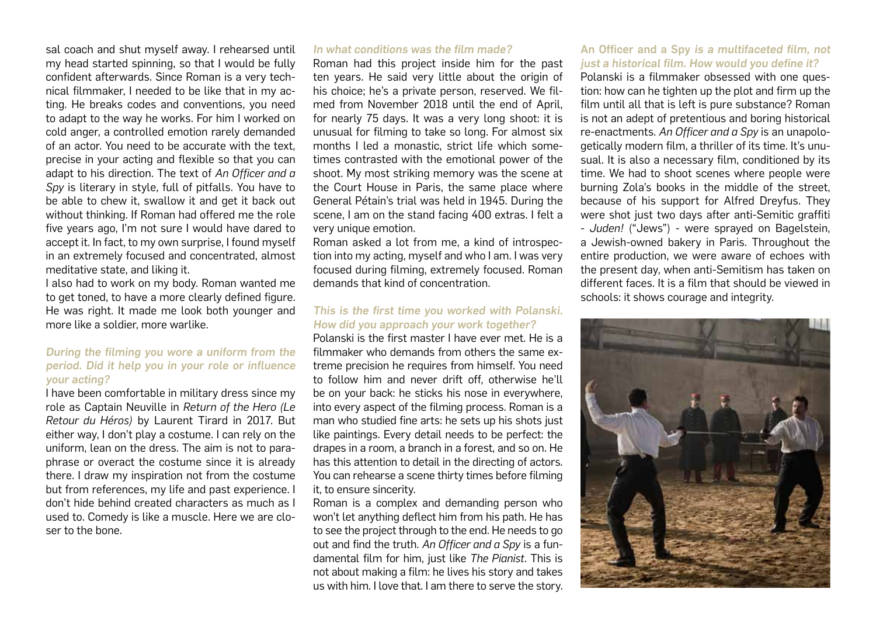sal coach and shut myself away. I rehearsed until my head started spinning, so that I would be fully confident afterwards. Since Roman is a very technical filmmaker, I needed to be like that in my acting. He breaks codes and conventions, you need to adapt to the way he works. For him I worked on cold anger, a controlled emotion rarely demanded of an actor. You need to be accurate with the text, precise in your acting and flexible so that you can adapt to his direction. The text of *An Officer and a Spy* is literary in style, full of pitfalls. You have to be able to chew it, swallow it and get it back out without thinking. If Roman had offered me the role five years ago, I'm not sure I would have dared to accept it. In fact, to my own surprise, I found myself in an extremely focused and concentrated, almost meditative state, and liking it.

I also had to work on my body. Roman wanted me to get toned, to have a more clearly defined figure. He was right. It made me look both younger and more like a soldier, more warlike.

#### During the filming you wore a uniform from the period. Did it help you in your role or influence your acting?

I have been comfortable in military dress since my role as Captain Neuville in *Return of the Hero (Le Retour du Héros)* by Laurent Tirard in 2017. But either way, I don't play a costume. I can rely on the uniform, lean on the dress. The aim is not to paraphrase or overact the costume since it is already there. I draw my inspiration not from the costume but from references, my life and past experience. I don't hide behind created characters as much as I used to. Comedy is like a muscle. Here we are closer to the bone.

#### In what conditions was the film made?

Roman had this project inside him for the past ten years. He said very little about the origin of his choice; he's a private person, reserved. We filmed from November 2018 until the end of April, for nearly 75 days. It was a very long shoot: it is unusual for filming to take so long. For almost six months I led a monastic, strict life which sometimes contrasted with the emotional power of the shoot. My most striking memory was the scene at the Court House in Paris, the same place where General Pétain's trial was held in 1945. During the scene, I am on the stand facing 400 extras. I felt a very unique emotion.

Roman asked a lot from me, a kind of introspection into my acting, myself and who I am. I was very focused during filming, extremely focused. Roman demands that kind of concentration.

#### This is the first time you worked with Polanski. How did you approach your work together?

Polanski is the first master I have ever met. He is a filmmaker who demands from others the same extreme precision he requires from himself. You need to follow him and never drift off, otherwise he'll be on your back: he sticks his nose in everywhere, into every aspect of the filming process. Roman is a man who studied fine arts: he sets up his shots just like paintings. Every detail needs to be perfect: the drapes in a room, a branch in a forest, and so on. He has this attention to detail in the directing of actors. You can rehearse a scene thirty times before filming it, to ensure sincerity.

Roman is a complex and demanding person who won't let anything deflect him from his path. He has to see the project through to the end. He needs to go out and find the truth. *An Officer and a Spy* is a fundamental film for him, just like *The Pianist*. This is not about making a film: he lives his story and takes us with him. I love that. I am there to serve the story.

#### An Officer and a Spy is a multifaceted film, not just a historical film. How would you define it?

Polanski is a filmmaker obsessed with one question: how can he tighten up the plot and firm up the film until all that is left is pure substance? Roman is not an adept of pretentious and boring historical re-enactments. *An Officer and a Spy* is an unapologetically modern film, a thriller of its time. It's unusual. It is also a necessary film, conditioned by its time. We had to shoot scenes where people were burning Zola's books in the middle of the street, because of his support for Alfred Dreyfus. They were shot just two days after anti-Semitic graffiti - *Juden!* ("Jews") - were sprayed on Bagelstein, a Jewish-owned bakery in Paris. Throughout the entire production, we were aware of echoes with the present day, when anti-Semitism has taken on different faces. It is a film that should be viewed in schools: it shows courage and integrity.

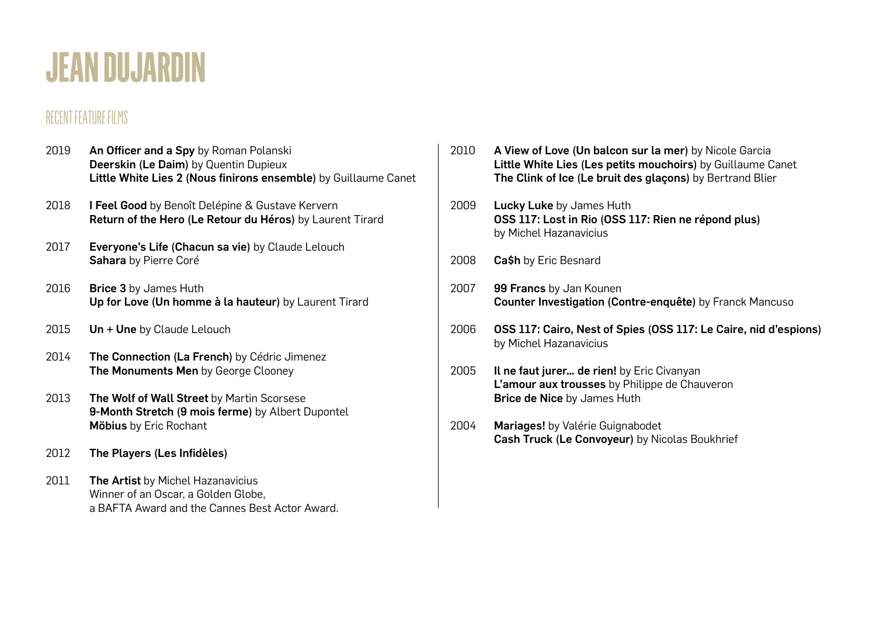# **JEAN DUJAR**

#### Recent Feature Films

- 2019 An Officer and a Spy by Roman Polanski Deerskin (Le Daim) by Quentin Dupieux Little White Lies 2 (Nous finirons ensemble) by Guillaume Canet
- 2018 I Feel Good by Benoît Delépine & Gustave Kervern Return of the Hero (Le Retour du Héros) by Laurent Tirard
- 2017 Everyone's Life (Chacun sa vie) by Claude Lelouch Sahara by Pierre Coré
- 2016 Brice 3 by James Huth Up for Love (Un homme à la hauteur) by Laurent Tirard
- 2015 **Un + Une** by Claude Lelouch
- 2014 The Connection (La French) by Cédric Jimenez The Monuments Men by George Clooney
- 2013 The Wolf of Wall Street by Martin Scorsese 9-Month Stretch (9 mois ferme) by Albert Dupontel Möbius by Eric Rochant
- 2012 The Players (Les Infidèles)
- 2011 The Artist by Michel Hazanavicius Winner of an Oscar, a Golden Globe, a BAFTA Award and the Cannes Best Actor Award.
- 2010 A View of Love (Un balcon sur la mer) by Nicole Garcia Little White Lies (Les petits mouchoirs) by Guillaume Canet The Clink of Ice (Le bruit des glacons) by Bertrand Blier
- 2009 Lucky Luke by James Huth OSS 117: Lost in Rio (OSS 117: Rien ne répond plus) by Michel Hazanavicius
- 2008 Ca\$h by Eric Besnard
- 2007 99 Francs by Jan Kounen Counter Investigation (Contre-enquête) by Franck Mancuso
- 2006 OSS 117: Cairo, Nest of Spies (OSS 117: Le Caire, nid d'espions) by Michel Hazanavicius
- 2005 **Il ne faut jurer... de rien!** by Eric Civanyan L'amour aux trousses by Philippe de Chauveron Brice de Nice by James Huth
- 2004 Mariages! by Valérie Guignabodet Cash Truck (Le Convoyeur) by Nicolas Boukhrief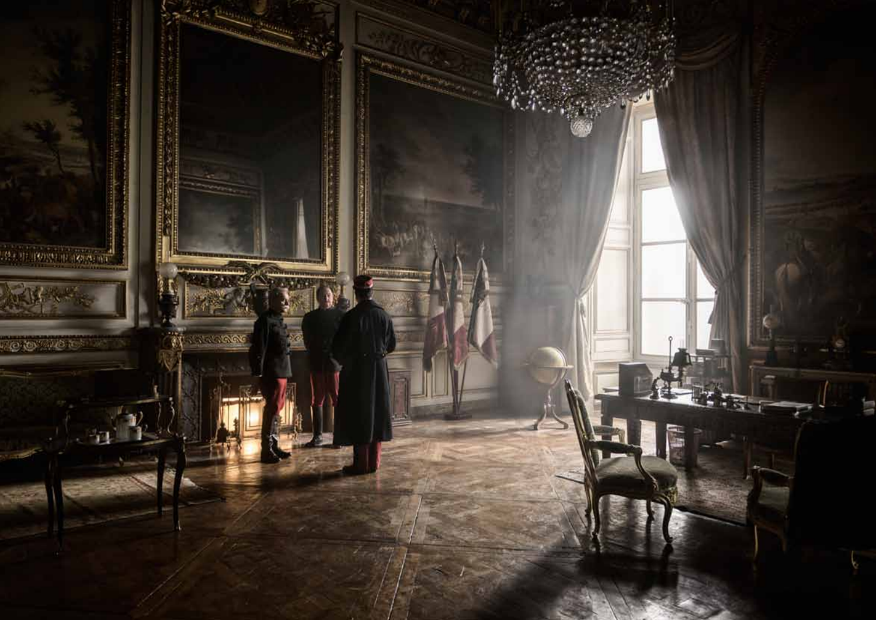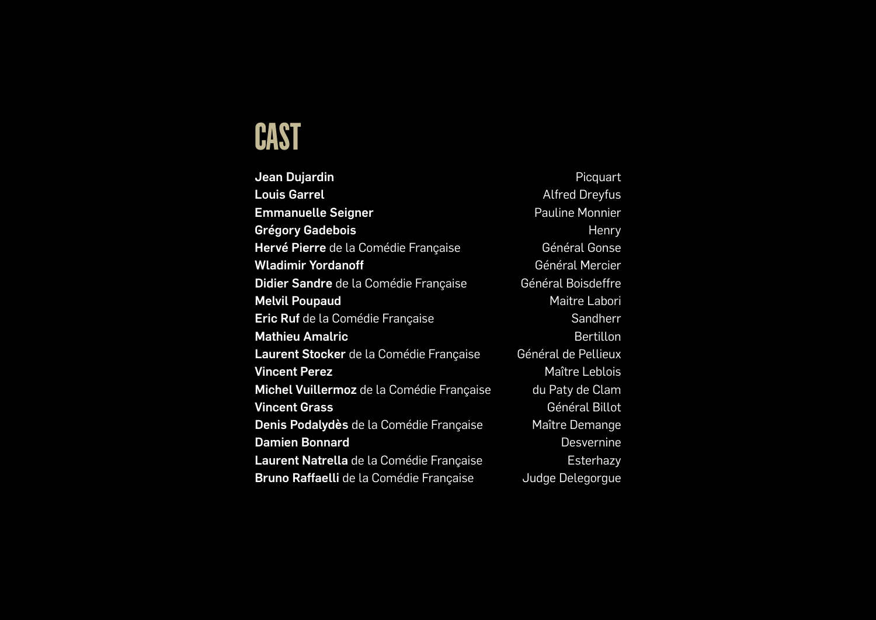# **CAST**

| Jean Dujardin                             | Picquart               |
|-------------------------------------------|------------------------|
| <b>Louis Garrel</b>                       | <b>Alfred Dreyfus</b>  |
| <b>Emmanuelle Seigner</b>                 | <b>Pauline Monnier</b> |
| Grégory Gadebois                          | Henry                  |
| Hervé Pierre de la Comédie Française      | Général Gonse          |
| <b>Wladimir Yordanoff</b>                 | Général Mercier        |
| Didier Sandre de la Comédie Française     | Général Boisdeffre     |
| <b>Melvil Poupaud</b>                     | Maitre Labori          |
| Eric Ruf de la Comédie Française          | Sandherr               |
| <b>Mathieu Amalric</b>                    | Bertillon              |
| Laurent Stocker de la Comédie Française   | Général de Pellieux    |
| <b>Vincent Perez</b>                      | Maître Leblois         |
| Michel Vuillermoz de la Comédie Française | du Paty de Clam        |
| <b>Vincent Grass</b>                      | Général Billot         |
| Denis Podalydès de la Comédie Française   | Maître Demange         |
| <b>Damien Bonnard</b>                     | <b>Desvernine</b>      |
| Laurent Natrella de la Comédie Française  | Esterhazy              |
| Bruno Raffaelli de la Comédie Française   | Judge Delegorgue       |